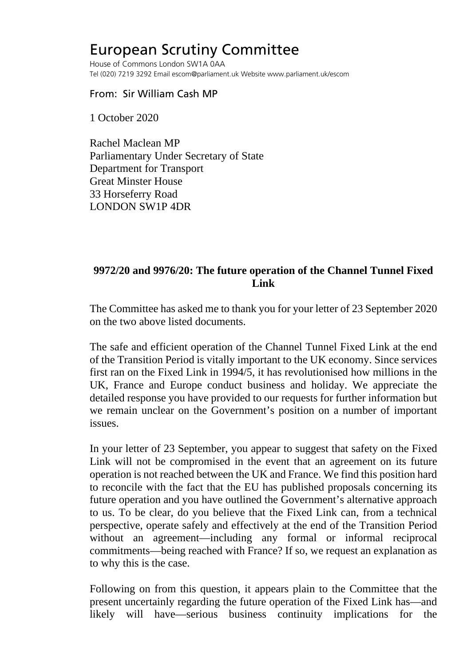## European Scrutiny Committee

House of Commons London SW1A 0AA Tel (020) 7219 3292 Email escom@parliament.uk Website www.parliament.uk/escom

## From: Sir William Cash MP

1 October 2020

Rachel Maclean MP Parliamentary Under Secretary of State Department for Transport Great Minster House 33 Horseferry Road LONDON SW1P 4DR

## **9972/20 and 9976/20: The future operation of the Channel Tunnel Fixed Link**

The Committee has asked me to thank you for your letter of 23 September 2020 on the two above listed documents.

The safe and efficient operation of the Channel Tunnel Fixed Link at the end of the Transition Period is vitally important to the UK economy. Since services first ran on the Fixed Link in 1994/5, it has revolutionised how millions in the UK, France and Europe conduct business and holiday. We appreciate the detailed response you have provided to our requests for further information but we remain unclear on the Government's position on a number of important issues.

In your letter of 23 September, you appear to suggest that safety on the Fixed Link will not be compromised in the event that an agreement on its future operation is not reached between the UK and France. We find this position hard to reconcile with the fact that the EU has published proposals concerning its future operation and you have outlined the Government's alternative approach to us. To be clear, do you believe that the Fixed Link can, from a technical perspective, operate safely and effectively at the end of the Transition Period without an agreement—including any formal or informal reciprocal commitments—being reached with France? If so, we request an explanation as to why this is the case.

Following on from this question, it appears plain to the Committee that the present uncertainly regarding the future operation of the Fixed Link has—and likely will have—serious business continuity implications for the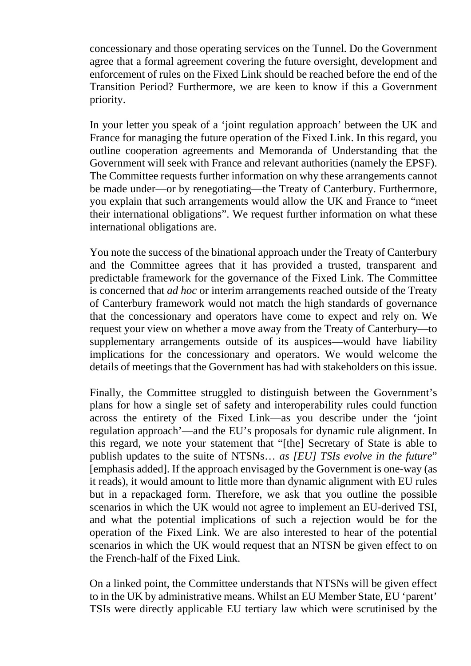concessionary and those operating services on the Tunnel. Do the Government agree that a formal agreement covering the future oversight, development and enforcement of rules on the Fixed Link should be reached before the end of the Transition Period? Furthermore, we are keen to know if this a Government priority.

In your letter you speak of a 'joint regulation approach' between the UK and France for managing the future operation of the Fixed Link. In this regard, you outline cooperation agreements and Memoranda of Understanding that the Government will seek with France and relevant authorities (namely the EPSF). The Committee requests further information on why these arrangements cannot be made under—or by renegotiating—the Treaty of Canterbury. Furthermore, you explain that such arrangements would allow the UK and France to "meet their international obligations". We request further information on what these international obligations are.

You note the success of the binational approach under the Treaty of Canterbury and the Committee agrees that it has provided a trusted, transparent and predictable framework for the governance of the Fixed Link. The Committee is concerned that *ad hoc* or interim arrangements reached outside of the Treaty of Canterbury framework would not match the high standards of governance that the concessionary and operators have come to expect and rely on. We request your view on whether a move away from the Treaty of Canterbury—to supplementary arrangements outside of its auspices—would have liability implications for the concessionary and operators. We would welcome the details of meetings that the Government has had with stakeholders on this issue.

Finally, the Committee struggled to distinguish between the Government's plans for how a single set of safety and interoperability rules could function across the entirety of the Fixed Link—as you describe under the 'joint regulation approach'—and the EU's proposals for dynamic rule alignment. In this regard, we note your statement that "[the] Secretary of State is able to publish updates to the suite of NTSNs… *as [EU] TSIs evolve in the future*" [emphasis added]. If the approach envisaged by the Government is one-way (as it reads), it would amount to little more than dynamic alignment with EU rules but in a repackaged form. Therefore, we ask that you outline the possible scenarios in which the UK would not agree to implement an EU-derived TSI, and what the potential implications of such a rejection would be for the operation of the Fixed Link. We are also interested to hear of the potential scenarios in which the UK would request that an NTSN be given effect to on the French-half of the Fixed Link.

On a linked point, the Committee understands that NTSNs will be given effect to in the UK by administrative means. Whilst an EU Member State, EU 'parent' TSIs were directly applicable EU tertiary law which were scrutinised by the